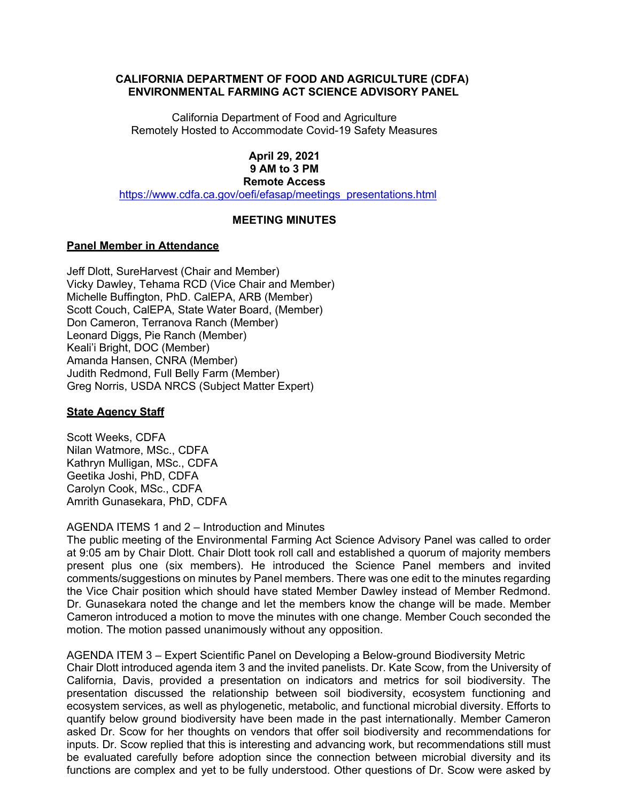## **CALIFORNIA DEPARTMENT OF FOOD AND AGRICULTURE (CDFA) ENVIRONMENTAL FARMING ACT SCIENCE ADVISORY PANEL**

California Department of Food and Agriculture Remotely Hosted to Accommodate Covid-19 Safety Measures

### **9 AM to 3 PM April 29, 2021 Remote Access**

[https://www.cdfa.ca.gov/oefi/efasap/meetings\\_presentations.html](https://www.cdfa.ca.gov/oefi/efasap/meetings_presentations.html) 

# **MEETING MINUTES**

## **Panel Member in Attendance**

 Michelle Buffington, PhD. CalEPA, ARB (Member) Scott Couch, CalEPA, State Water Board, (Member) Don Cameron, Terranova Ranch (Member) Greg Norris, USDA NRCS (Subject Matter Expert) Jeff Dlott, SureHarvest (Chair and Member) Vicky Dawley, Tehama RCD (Vice Chair and Member) Leonard Diggs, Pie Ranch (Member) Keali'i Bright, DOC (Member) Amanda Hansen, CNRA (Member) Judith Redmond, Full Belly Farm (Member)

# **State Agency Staff**

 Nilan Watmore, MSc., CDFA Scott Weeks, CDFA Kathryn Mulligan, MSc., CDFA Geetika Joshi, PhD, CDFA Carolyn Cook, MSc., CDFA Amrith Gunasekara, PhD, CDFA

## AGENDA ITEMS 1 and 2 – Introduction and Minutes

 The public meeting of the Environmental Farming Act Science Advisory Panel was called to order at 9:05 am by Chair Dlott. Chair Dlott took roll call and established a quorum of majority members present plus one (six members). He introduced the Science Panel members and invited comments/suggestions on minutes by Panel members. There was one edit to the minutes regarding the Vice Chair position which should have stated Member Dawley instead of Member Redmond. Dr. Gunasekara noted the change and let the members know the change will be made. Member Cameron introduced a motion to move the minutes with one change. Member Couch seconded the motion. The motion passed unanimously without any opposition.

 AGENDA ITEM 3 – Expert Scientific Panel on Developing a Below-ground Biodiversity Metric Chair Dlott introduced agenda item 3 and the invited panelists. Dr. Kate Scow, from the University of California, Davis, provided a presentation on indicators and metrics for soil biodiversity. The presentation discussed the relationship between soil biodiversity, ecosystem functioning and quantify below ground biodiversity have been made in the past internationally. Member Cameron asked Dr. Scow for her thoughts on vendors that offer soil biodiversity and recommendations for functions are complex and yet to be fully understood. Other questions of Dr. Scow were asked by ecosystem services, as well as phylogenetic, metabolic, and functional microbial diversity. Efforts to inputs. Dr. Scow replied that this is interesting and advancing work, but recommendations still must be evaluated carefully before adoption since the connection between microbial diversity and its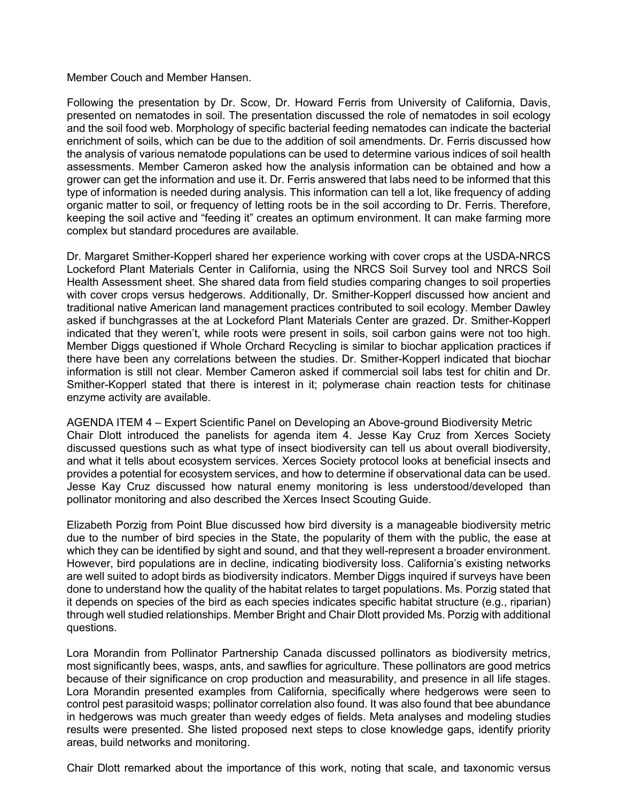### Member Couch and Member Hansen.

Member Couch and Member Hansen.<br>Following the presentation by Dr. Scow, Dr. Howard Ferris from University of California, Davis, presented on nematodes in soil. The presentation discussed the role of nematodes in soil ecology and the soil food web. Morphology of specific bacterial feeding nematodes can indicate the bacterial enrichment of soils, which can be due to the addition of soil amendments. Dr. Ferris discussed how the analysis of various nematode populations can be used to determine various indices of soil health assessments. Member Cameron asked how the analysis information can be obtained and how a grower can get the information and use it. Dr. Ferris answered that labs need to be informed that this organic matter to soil, or frequency of letting roots be in the soil according to Dr. Ferris. Therefore, keeping the soil active and "feeding it" creates an optimum environment. It can make farming more type of information is needed during analysis. This information can tell a lot, like frequency of adding complex but standard procedures are available.

 Dr. Margaret Smither-Kopperl shared her experience working with cover crops at the USDA-NRCS asked if bunchgrasses at the at Lockeford Plant Materials Center are grazed. Dr. Smither-Kopperl indicated that they weren't, while roots were present in soils, soil carbon gains were not too high. Smither-Kopperl stated that there is interest in it; polymerase chain reaction tests for chitinase Lockeford Plant Materials Center in California, using the NRCS Soil Survey tool and NRCS Soil Health Assessment sheet. She shared data from field studies comparing changes to soil properties with cover crops versus hedgerows. Additionally, Dr. Smither-Kopperl discussed how ancient and traditional native American land management practices contributed to soil ecology. Member Dawley Member Diggs questioned if Whole Orchard Recycling is similar to biochar application practices if there have been any correlations between the studies. Dr. Smither-Kopperl indicated that biochar information is still not clear. Member Cameron asked if commercial soil labs test for chitin and Dr. enzyme activity are available.

 discussed questions such as what type of insect biodiversity can tell us about overall biodiversity, and what it tells about ecosystem services. Xerces Society protocol looks at beneficial insects and provides a potential for ecosystem services, and how to determine if observational data can be used. Jesse Kay Cruz discussed how natural enemy monitoring is less understood/developed than AGENDA ITEM 4 – Expert Scientific Panel on Developing an Above-ground Biodiversity Metric Chair Dlott introduced the panelists for agenda item 4. Jesse Kay Cruz from Xerces Society pollinator monitoring and also described the Xerces Insect Scouting Guide.

 due to the number of bird species in the State, the popularity of them with the public, the ease at which they can be identified by sight and sound, and that they well-represent a broader environment. However, bird populations are in decline, indicating biodiversity loss. California's existing networks are well suited to adopt birds as biodiversity indicators. Member Diggs inquired if surveys have been done to understand how the quality of the habitat relates to target populations. Ms. Porzig stated that Elizabeth Porzig from Point Blue discussed how bird diversity is a manageable biodiversity metric it depends on species of the bird as each species indicates specific habitat structure (e.g., riparian) through well studied relationships. Member Bright and Chair Dlott provided Ms. Porzig with additional questions.

 most significantly bees, wasps, ants, and sawflies for agriculture. These pollinators are good metrics control pest parasitoid wasps; pollinator correlation also found. It was also found that bee abundance in hedgerows was much greater than weedy edges of fields. Meta analyses and modeling studies results were presented. She listed proposed next steps to close knowledge gaps, identify priority Lora Morandin from Pollinator Partnership Canada discussed pollinators as biodiversity metrics, because of their significance on crop production and measurability, and presence in all life stages. Lora Morandin presented examples from California, specifically where hedgerows were seen to areas, build networks and monitoring.

Chair Dlott remarked about the importance of this work, noting that scale, and taxonomic versus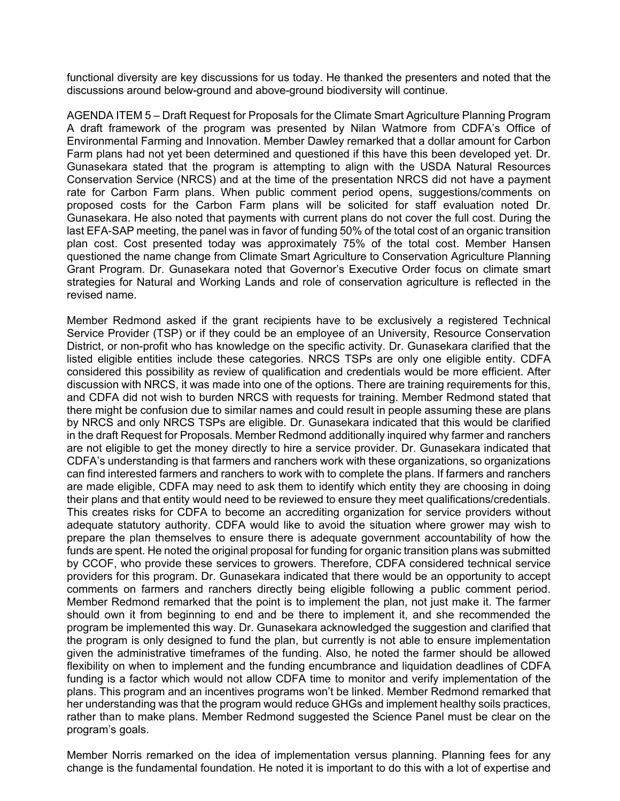functional diversity are key discussions for us today. He thanked the presenters and noted that the discussions around below-ground and above-ground biodiversity will continue.

 AGENDA ITEM 5 – Draft Request for Proposals for the Climate Smart Agriculture Planning Program A draft framework of the program was presented by Nilan Watmore from CDFA's Office of Farm plans had not yet been determined and questioned if this have this been developed yet. Dr. Conservation Service (NRCS) and at the time of the presentation NRCS did not have a payment rate for Carbon Farm plans. When public comment period opens, suggestions/comments on Gunasekara. He also noted that payments with current plans do not cover the full cost. During the last EFA-SAP meeting, the panel was in favor of funding 50% of the total cost of an organic transition Environmental Farming and Innovation. Member Dawley remarked that a dollar amount for Carbon Gunasekara stated that the program is attempting to align with the USDA Natural Resources proposed costs for the Carbon Farm plans will be solicited for staff evaluation noted Dr. plan cost. Cost presented today was approximately 75% of the total cost. Member Hansen questioned the name change from Climate Smart Agriculture to Conservation Agriculture Planning Grant Program. Dr. Gunasekara noted that Governor's Executive Order focus on climate smart strategies for Natural and Working Lands and role of conservation agriculture is reflected in the revised name.

 Service Provider (TSP) or if they could be an employee of an University, Resource Conservation District, or non-profit who has knowledge on the specific activity. Dr. Gunasekara clarified that the and CDFA did not wish to burden NRCS with requests for training. Member Redmond stated that are not eligible to get the money directly to hire a service provider. Dr. Gunasekara indicated that This creates risks for CDFA to become an accrediting organization for service providers without providers for this program. Dr. Gunasekara indicated that there would be an opportunity to accept comments on farmers and ranchers directly being eligible following a public comment period. flexibility on when to implement and the funding encumbrance and liquidation deadlines of CDFA funding is a factor which would not allow CDFA time to monitor and verify implementation of the program's goals. Member Redmond asked if the grant recipients have to be exclusively a registered Technical listed eligible entities include these categories. NRCS TSPs are only one eligible entity. CDFA considered this possibility as review of qualification and credentials would be more efficient. After discussion with NRCS, it was made into one of the options. There are training requirements for this, there might be confusion due to similar names and could result in people assuming these are plans by NRCS and only NRCS TSPs are eligible. Dr. Gunasekara indicated that this would be clarified in the draft Request for Proposals. Member Redmond additionally inquired why farmer and ranchers CDFA's understanding is that farmers and ranchers work with these organizations, so organizations can find interested farmers and ranchers to work with to complete the plans. If farmers and ranchers are made eligible, CDFA may need to ask them to identify which entity they are choosing in doing their plans and that entity would need to be reviewed to ensure they meet qualifications/credentials. adequate statutory authority. CDFA would like to avoid the situation where grower may wish to prepare the plan themselves to ensure there is adequate government accountability of how the funds are spent. He noted the original proposal for funding for organic transition plans was submitted by CCOF, who provide these services to growers. Therefore, CDFA considered technical service Member Redmond remarked that the point is to implement the plan, not just make it. The farmer should own it from beginning to end and be there to implement it, and she recommended the program be implemented this way. Dr. Gunasekara acknowledged the suggestion and clarified that the program is only designed to fund the plan, but currently is not able to ensure implementation given the administrative timeframes of the funding. Also, he noted the farmer should be allowed plans. This program and an incentives programs won't be linked. Member Redmond remarked that her understanding was that the program would reduce GHGs and implement healthy soils practices, rather than to make plans. Member Redmond suggested the Science Panel must be clear on the

Member Norris remarked on the idea of implementation versus planning. Planning fees for any change is the fundamental foundation. He noted it is important to do this with a lot of expertise and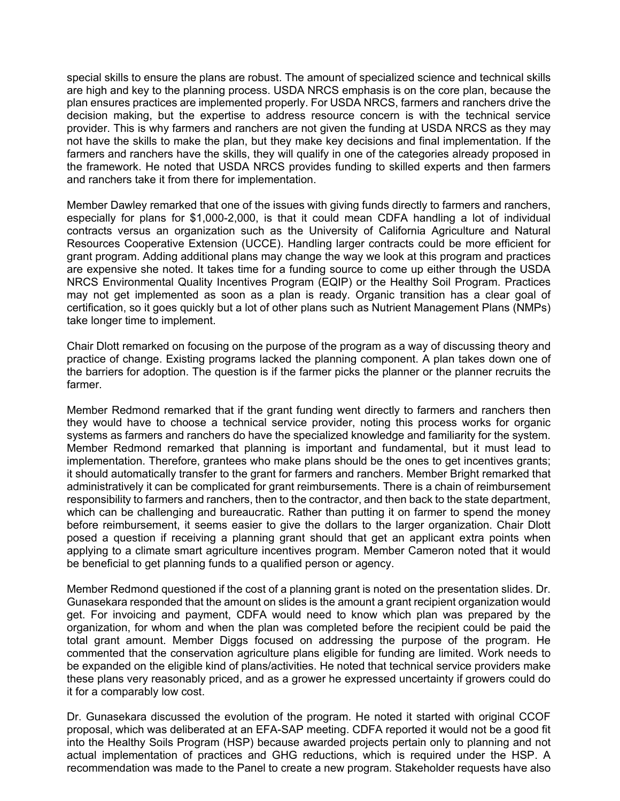special skills to ensure the plans are robust. The amount of specialized science and technical skills are high and key to the planning process. USDA NRCS emphasis is on the core plan, because the plan ensures practices are implemented properly. For USDA NRCS, farmers and ranchers drive the provider. This is why farmers and ranchers are not given the funding at USDA NRCS as they may farmers and ranchers have the skills, they will qualify in one of the categories already proposed in decision making, but the expertise to address resource concern is with the technical service not have the skills to make the plan, but they make key decisions and final implementation. If the the framework. He noted that USDA NRCS provides funding to skilled experts and then farmers and ranchers take it from there for implementation.

 especially for plans for \$1,000-2,000, is that it could mean CDFA handling a lot of individual Resources Cooperative Extension (UCCE). Handling larger contracts could be more efficient for NRCS Environmental Quality Incentives Program (EQIP) or the Healthy Soil Program. Practices may not get implemented as soon as a plan is ready. Organic transition has a clear goal of Member Dawley remarked that one of the issues with giving funds directly to farmers and ranchers, contracts versus an organization such as the University of California Agriculture and Natural grant program. Adding additional plans may change the way we look at this program and practices are expensive she noted. It takes time for a funding source to come up either through the USDA certification, so it goes quickly but a lot of other plans such as Nutrient Management Plans (NMPs) take longer time to implement.

 the barriers for adoption. The question is if the farmer picks the planner or the planner recruits the Chair Dlott remarked on focusing on the purpose of the program as a way of discussing theory and practice of change. Existing programs lacked the planning component. A plan takes down one of farmer.

 Member Redmond remarked that if the grant funding went directly to farmers and ranchers then they would have to choose a technical service provider, noting this process works for organic systems as farmers and ranchers do have the specialized knowledge and familiarity for the system. responsibility to farmers and ranchers, then to the contractor, and then back to the state department, Member Redmond remarked that planning is important and fundamental, but it must lead to implementation. Therefore, grantees who make plans should be the ones to get incentives grants; it should automatically transfer to the grant for farmers and ranchers. Member Bright remarked that administratively it can be complicated for grant reimbursements. There is a chain of reimbursement which can be challenging and bureaucratic. Rather than putting it on farmer to spend the money before reimbursement, it seems easier to give the dollars to the larger organization. Chair Dlott posed a question if receiving a planning grant should that get an applicant extra points when applying to a climate smart agriculture incentives program. Member Cameron noted that it would be beneficial to get planning funds to a qualified person or agency.

 Member Redmond questioned if the cost of a planning grant is noted on the presentation slides. Dr. Gunasekara responded that the amount on slides is the amount a grant recipient organization would get. For invoicing and payment, CDFA would need to know which plan was prepared by the organization, for whom and when the plan was completed before the recipient could be paid the be expanded on the eligible kind of plans/activities. He noted that technical service providers make these plans very reasonably priced, and as a grower he expressed uncertainty if growers could do it for a comparably low cost. total grant amount. Member Diggs focused on addressing the purpose of the program. He commented that the conservation agriculture plans eligible for funding are limited. Work needs to

 proposal, which was deliberated at an EFA-SAP meeting. CDFA reported it would not be a good fit into the Healthy Soils Program (HSP) because awarded projects pertain only to planning and not recommendation was made to the Panel to create a new program. Stakeholder requests have also Dr. Gunasekara discussed the evolution of the program. He noted it started with original CCOF actual implementation of practices and GHG reductions, which is required under the HSP. A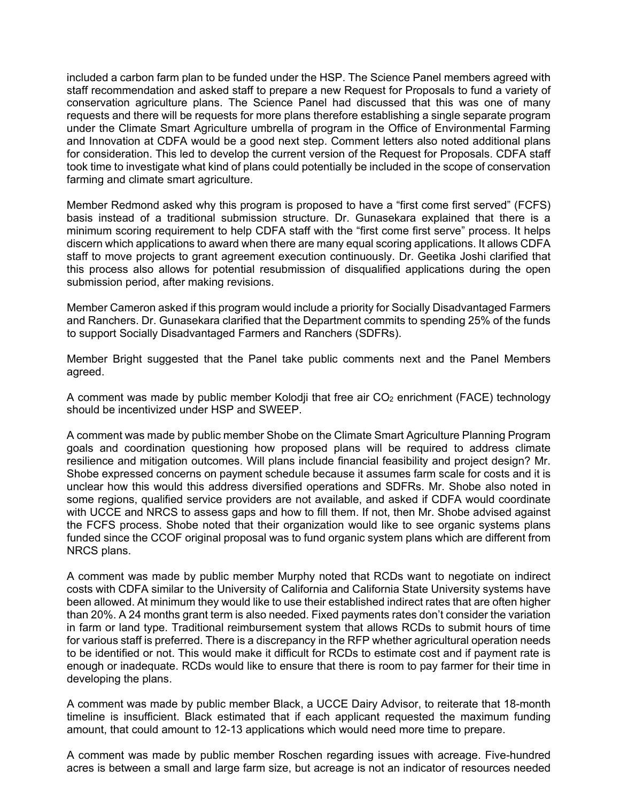staff recommendation and asked staff to prepare a new Request for Proposals to fund a variety of and Innovation at CDFA would be a good next step. Comment letters also noted additional plans took time to investigate what kind of plans could potentially be included in the scope of conservation included a carbon farm plan to be funded under the HSP. The Science Panel members agreed with conservation agriculture plans. The Science Panel had discussed that this was one of many requests and there will be requests for more plans therefore establishing a single separate program under the Climate Smart Agriculture umbrella of program in the Office of Environmental Farming for consideration. This led to develop the current version of the Request for Proposals. CDFA staff farming and climate smart agriculture.

 Member Redmond asked why this program is proposed to have a "first come first served" (FCFS) basis instead of a traditional submission structure. Dr. Gunasekara explained that there is a discern which applications to award when there are many equal scoring applications. It allows CDFA this process also allows for potential resubmission of disqualified applications during the open submission period, after making revisions. minimum scoring requirement to help CDFA staff with the "first come first serve" process. It helps staff to move projects to grant agreement execution continuously. Dr. Geetika Joshi clarified that

submission period, after making revisions.<br>Member Cameron asked if this program would include a priority for Socially Disadvantaged Farmers and Ranchers. Dr. Gunasekara clarified that the Department commits to spending 25% of the funds to support Socially Disadvantaged Farmers and Ranchers (SDFRs).

 Member Bright suggested that the Panel take public comments next and the Panel Members agreed.

A comment was made by public member Kolodji that free air  $CO<sub>2</sub>$  enrichment (FACE) technology should be incentivized under HSP and SWEEP.

 goals and coordination questioning how proposed plans will be required to address climate Shobe expressed concerns on payment schedule because it assumes farm scale for costs and it is unclear how this would this address diversified operations and SDFRs. Mr. Shobe also noted in the FCFS process. Shobe noted that their organization would like to see organic systems plans funded since the CCOF original proposal was to fund organic system plans which are different from A comment was made by public member Shobe on the Climate Smart Agriculture Planning Program resilience and mitigation outcomes. Will plans include financial feasibility and project design? Mr. some regions, qualified service providers are not available, and asked if CDFA would coordinate with UCCE and NRCS to assess gaps and how to fill them. If not, then Mr. Shobe advised against NRCS plans.

 A comment was made by public member Murphy noted that RCDs want to negotiate on indirect than 20%. A 24 months grant term is also needed. Fixed payments rates don't consider the variation to be identified or not. This would make it difficult for RCDs to estimate cost and if payment rate is costs with CDFA similar to the University of California and California State University systems have been allowed. At minimum they would like to use their established indirect rates that are often higher in farm or land type. Traditional reimbursement system that allows RCDs to submit hours of time for various staff is preferred. There is a discrepancy in the RFP whether agricultural operation needs enough or inadequate. RCDs would like to ensure that there is room to pay farmer for their time in developing the plans.

A comment was made by public member Black, a UCCE Dairy Advisor, to reiterate that 18-month timeline is insufficient. Black estimated that if each applicant requested the maximum funding amount, that could amount to 12-13 applications which would need more time to prepare.

A comment was made by public member Roschen regarding issues with acreage. Five-hundred acres is between a small and large farm size, but acreage is not an indicator of resources needed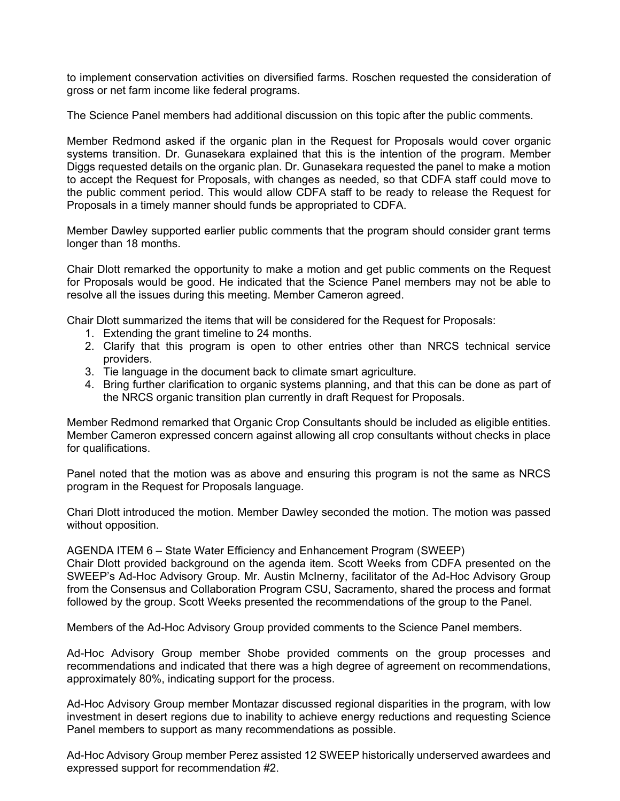gross or net farm income like federal programs. to implement conservation activities on diversified farms. Roschen requested the consideration of

The Science Panel members had additional discussion on this topic after the public comments.

 systems transition. Dr. Gunasekara explained that this is the intention of the program. Member Diggs requested details on the organic plan. Dr. Gunasekara requested the panel to make a motion to accept the Request for Proposals, with changes as needed, so that CDFA staff could move to Proposals in a timely manner should funds be appropriated to CDFA. Member Redmond asked if the organic plan in the Request for Proposals would cover organic the public comment period. This would allow CDFA staff to be ready to release the Request for

Member Dawley supported earlier public comments that the program should consider grant terms longer than 18 months.

 for Proposals would be good. He indicated that the Science Panel members may not be able to resolve all the issues during this meeting. Member Cameron agreed. Chair Dlott remarked the opportunity to make a motion and get public comments on the Request

Chair Dlott summarized the items that will be considered for the Request for Proposals:

- 1. Extending the grant timeline to 24 months.
- 1. Extending the grant timeline to 24 months.<br>2. Clarify that his program is open to other entries other than NRCS technical service providers.
- 3. Tie language in the document back to climate smart agriculture.
- 3. Tie language in the document back to climate smart agriculture.<br>4. Bring further clarification to organic systems planning, and that this can be done as part of the NRCS organic transition plan currently in draft Request for Proposals.

 Member Cameron expressed concern against allowing all crop consultants without checks in place Member Redmond remarked that Organic Crop Consultants should be included as eligible entities. for qualifications.

 program in the Request for Proposals language. Panel noted that the motion was as above and ensuring this program is not the same as NRCS

 Chari Dlott introduced the motion. Member Dawley seconded the motion. The motion was passed without opposition.

AGENDA ITEM 6 – State Water Efficiency and Enhancement Program (SWEEP)

 SWEEP's Ad-Hoc Advisory Group. Mr. Austin McInerny, facilitator of the Ad-Hoc Advisory Group from the Consensus and Collaboration Program CSU, Sacramento, shared the process and format Chair Dlott provided background on the agenda item. Scott Weeks from CDFA presented on the followed by the group. Scott Weeks presented the recommendations of the group to the Panel.

Members of the Ad-Hoc Advisory Group provided comments to the Science Panel members.

 Ad-Hoc Advisory Group member Shobe provided comments on the group processes and recommendations and indicated that there was a high degree of agreement on recommendations, approximately 80%, indicating support for the process.

 Ad-Hoc Advisory Group member Montazar discussed regional disparities in the program, with low investment in desert regions due to inability to achieve energy reductions and requesting Science Panel members to support as many recommendations as possible.

 Ad-Hoc Advisory Group member Perez assisted 12 SWEEP historically underserved awardees and expressed support for recommendation #2.